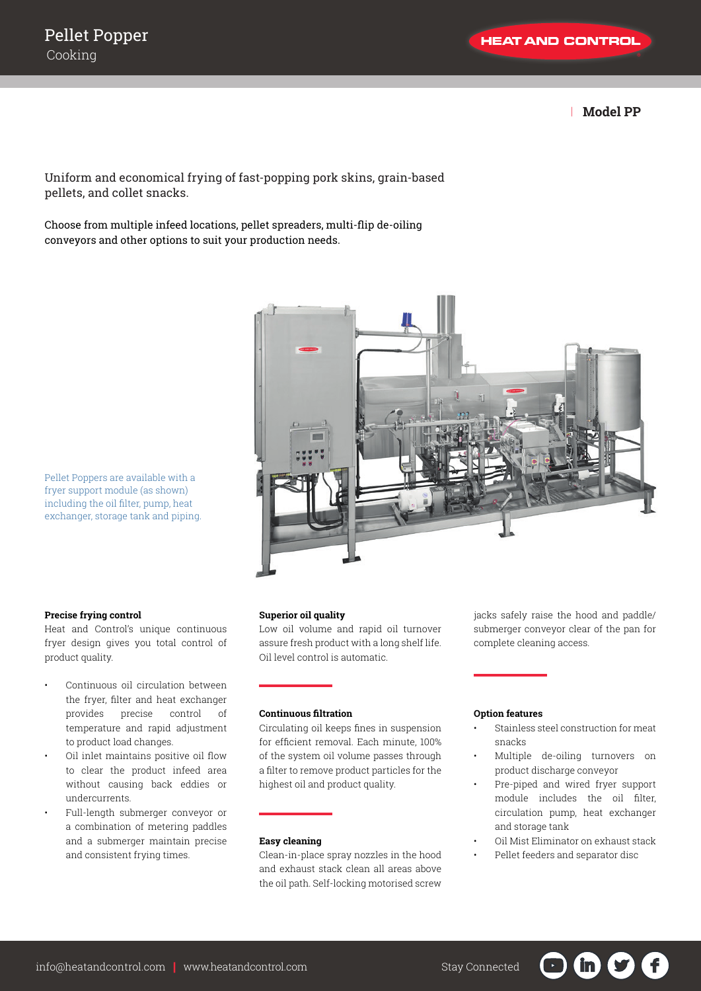| **Model PP**

Uniform and economical frying of fast-popping pork skins, grain-based pellets, and collet snacks.

Choose from multiple infeed locations, pellet spreaders, multi-flip de-oiling conveyors and other options to suit your production needs.



Pellet Poppers are available with a fryer support module (as shown) including the oil filter, pump, heat exchanger, storage tank and piping.

#### **Precise frying control**

Heat and Control's unique continuous fryer design gives you total control of product quality.

- Continuous oil circulation between the fryer, filter and heat exchanger provides precise control of temperature and rapid adjustment to product load changes.
- Oil inlet maintains positive oil flow to clear the product infeed area without causing back eddies or undercurrents.
- Full-length submerger conveyor or a combination of metering paddles and a submerger maintain precise and consistent frying times.

### **Superior oil quality**

Low oil volume and rapid oil turnover assure fresh product with a long shelf life. Oil level control is automatic.

# **Continuous filtration**

Circulating oil keeps fines in suspension for efficient removal. Each minute, 100% of the system oil volume passes through a filter to remove product particles for the highest oil and product quality.

#### **Easy cleaning**

Clean-in-place spray nozzles in the hood and exhaust stack clean all areas above the oil path. Self-locking motorised screw jacks safely raise the hood and paddle/ submerger conveyor clear of the pan for complete cleaning access.

### **Option features**

- Stainless steel construction for meat snacks
- Multiple de-oiling turnovers on product discharge conveyor
- Pre-piped and wired fryer support module includes the oil filter, circulation pump, heat exchanger and storage tank
- Oil Mist Eliminator on exhaust stack
- Pellet feeders and separator disc